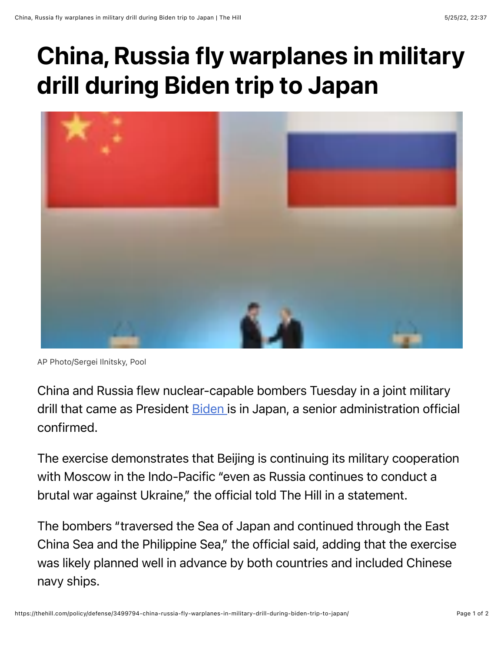## China, Russia fly warplanes in military drill during Biden trip to Japan



AP Photo/Sergei Ilnitsky, Pool

China and Russia flew nuclear-capable bombers Tuesday in a joint military drill that came as President [Biden i](https://thehill.com/people/biden/)s in Japan, a senior administration official confirmed.

The exercise demonstrates that Beijing is continuing its military cooperation with Moscow in the Indo-Pacific "even as Russia continues to conduct a brutal war against Ukraine," the official told The Hill in a statement.

The bombers "traversed the Sea of Japan and continued through the East China Sea and the Philippine Sea," the official said, adding that the exercise was likely planned well in advance by both countries and included Chinese navy ships.